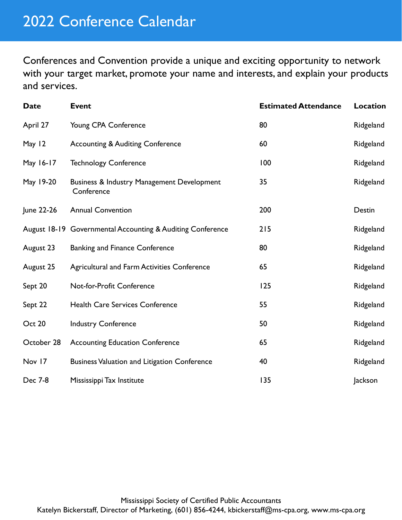Conferences and Convention provide a unique and exciting opportunity to network with your target market, promote your name and interests, and explain your products and services.

| <b>Date</b> | <b>Event</b>                                               | <b>Estimated Attendance</b> | <b>Location</b> |
|-------------|------------------------------------------------------------|-----------------------------|-----------------|
| April 27    | Young CPA Conference                                       | 80                          | Ridgeland       |
| May 12      | <b>Accounting &amp; Auditing Conference</b>                | 60                          | Ridgeland       |
| May 16-17   | <b>Technology Conference</b>                               | 100                         | Ridgeland       |
| May 19-20   | Business & Industry Management Development<br>Conference   | 35                          | Ridgeland       |
| June 22-26  | <b>Annual Convention</b>                                   | 200                         | Destin          |
|             | August 18-19 Governmental Accounting & Auditing Conference | 215                         | Ridgeland       |
| August 23   | <b>Banking and Finance Conference</b>                      | 80                          | Ridgeland       |
| August 25   | Agricultural and Farm Activities Conference                | 65                          | Ridgeland       |
| Sept 20     | Not-for-Profit Conference                                  | 125                         | Ridgeland       |
| Sept 22     | <b>Health Care Services Conference</b>                     | 55                          | Ridgeland       |
| Oct 20      | <b>Industry Conference</b>                                 | 50                          | Ridgeland       |
| October 28  | <b>Accounting Education Conference</b>                     | 65                          | Ridgeland       |
| Nov 17      | <b>Business Valuation and Litigation Conference</b>        | 40                          | Ridgeland       |
| Dec 7-8     | Mississippi Tax Institute                                  | 135                         | Jackson         |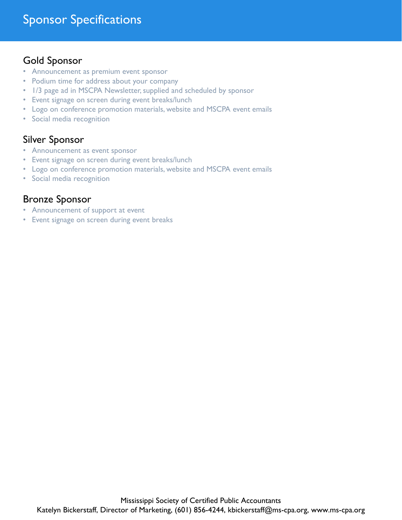## Gold Sponsor

- Announcement as premium event sponsor
- Podium time for address about your company
- 1/3 page ad in MSCPA Newsletter, supplied and scheduled by sponsor
- Event signage on screen during event breaks/lunch
- Logo on conference promotion materials, website and MSCPA event emails
- Social media recognition

## Silver Sponsor

- Announcement as event sponsor
- Event signage on screen during event breaks/lunch
- Logo on conference promotion materials, website and MSCPA event emails
- Social media recognition

## Bronze Sponsor

- Announcement of support at event
- Event signage on screen during event breaks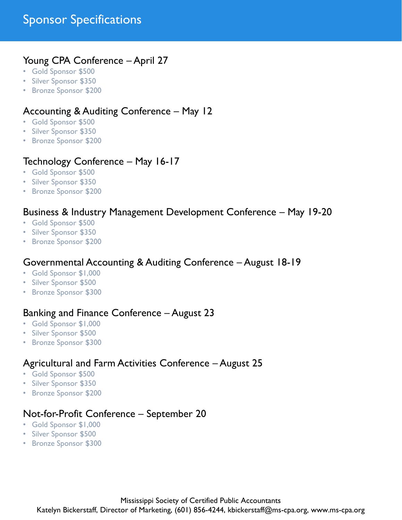## Sponsor Specifications

#### Young CPA Conference – April 27

- Gold Sponsor \$500
- Silver Sponsor \$350
- Bronze Sponsor \$200

#### Accounting & Auditing Conference – May 12

- Gold Sponsor \$500
- Silver Sponsor \$350
- Bronze Sponsor \$200

#### Technology Conference – May 16-17

- Gold Sponsor \$500
- Silver Sponsor \$350
- Bronze Sponsor \$200

#### Business & Industry Management Development Conference – May 19-20

- Gold Sponsor \$500
- Silver Sponsor \$350
- Bronze Sponsor \$200

#### Governmental Accounting & Auditing Conference – August 18-19

- Gold Sponsor \$1,000
- Silver Sponsor \$500
- Bronze Sponsor \$300

#### Banking and Finance Conference – August 23

- Gold Sponsor \$1,000
- Silver Sponsor \$500
- Bronze Sponsor \$300

#### Agricultural and Farm Activities Conference – August 25

- Gold Sponsor \$500
- Silver Sponsor \$350
- Bronze Sponsor \$200

#### Not-for-Profit Conference – September 20

- Gold Sponsor \$1,000
- Silver Sponsor \$500
- Bronze Sponsor \$300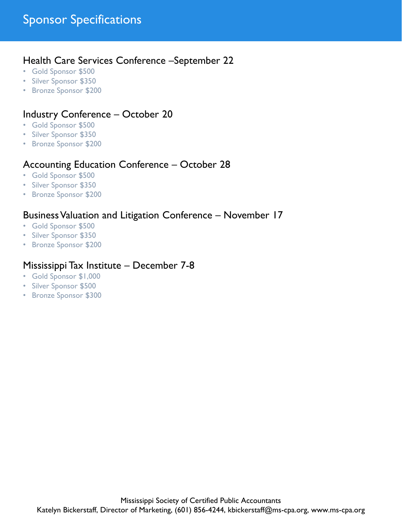#### Health Care Services Conference –September 22

- Gold Sponsor \$500
- Silver Sponsor \$350
- Bronze Sponsor \$200

## Industry Conference – October 20

- Gold Sponsor \$500
- Silver Sponsor \$350
- Bronze Sponsor \$200

## Accounting Education Conference – October 28

- Gold Sponsor \$500
- Silver Sponsor \$350
- Bronze Sponsor \$200

### Business Valuation and Litigation Conference – November 17

- Gold Sponsor \$500
- Silver Sponsor \$350
- Bronze Sponsor \$200

#### Mississippi Tax Institute – December 7-8

- Gold Sponsor \$1,000
- Silver Sponsor \$500
- Bronze Sponsor \$300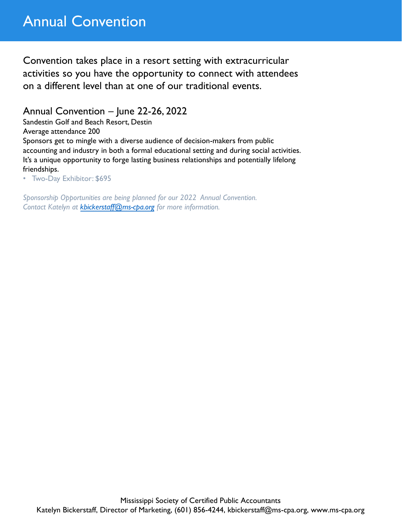## Annual Convention

Convention takes place in a resort setting with extracurricular activities so you have the opportunity to connect with attendees on a different level than at one of our traditional events.

Annual Convention – June 22-26, 2022

Sandestin Golf and Beach Resort, Destin

Average attendance 200

Sponsors get to mingle with a diverse audience of decision-makers from public accounting and industry in both a formal educational setting and during social activities. It's a unique opportunity to forge lasting business relationships and potentially lifelong friendships.

• Two-Day Exhibitor: \$695

*Sponsorship Opportunities are being planned for our 2022 Annual Convention. Contact Katelyn at kbickerstaff[@ms-cpa.org](mailto:jtruhett@ms-cpa.org) for more information.*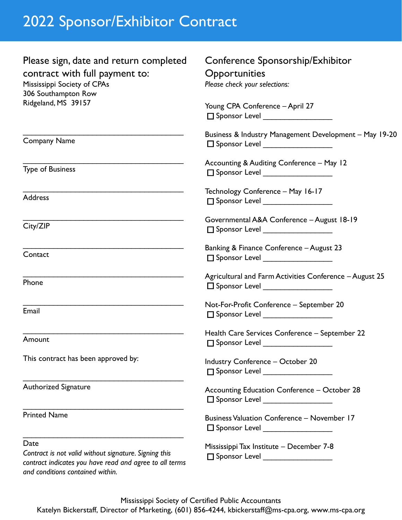# 2022 Sponsor/Exhibitor Contract

| Please sign, date and return completed<br>contract with full payment to:<br>Mississippi Society of CPAs<br>306 Southampton Row                               | Conference Sponsorship/Exhibitor<br>Opportunities<br>Please check your selections:<br>Young CPA Conference - April 27<br>$\Box$ Sponsor Level __________________                               |  |  |  |
|--------------------------------------------------------------------------------------------------------------------------------------------------------------|------------------------------------------------------------------------------------------------------------------------------------------------------------------------------------------------|--|--|--|
| Ridgeland, MS 39157                                                                                                                                          |                                                                                                                                                                                                |  |  |  |
| <b>Company Name</b>                                                                                                                                          | Business & Industry Management Development - May 19-20<br>$\square$ Sponsor Level ____________________<br>Accounting & Auditing Conference - May 12<br>$\Box$ Sponsor Level __________________ |  |  |  |
| <b>Type of Business</b>                                                                                                                                      |                                                                                                                                                                                                |  |  |  |
| <b>Address</b>                                                                                                                                               | Technology Conference - May 16-17<br>□ Sponsor Level ___________________                                                                                                                       |  |  |  |
| City/ZIP                                                                                                                                                     | Governmental A&A Conference - August 18-19<br>$\Box$ Sponsor Level _________________                                                                                                           |  |  |  |
| Contact                                                                                                                                                      | Banking & Finance Conference - August 23<br>$\Box$ Sponsor Level __________________                                                                                                            |  |  |  |
| Phone                                                                                                                                                        | Agricultural and Farm Activities Conference - August 25<br>$\square$ Sponsor Level ____________________                                                                                        |  |  |  |
| Email                                                                                                                                                        | Not-For-Profit Conference - September 20<br>□ Sponsor Level ________________                                                                                                                   |  |  |  |
| Amount                                                                                                                                                       | Health Care Services Conference - September 22<br>□ Sponsor Level                                                                                                                              |  |  |  |
| This contract has been approved by:                                                                                                                          | <b>Industry Conference - October 20</b><br>□ Sponsor Level __________________                                                                                                                  |  |  |  |
| Authorized Signature                                                                                                                                         | Accounting Education Conference - October 28<br>□ Sponsor Level ___________________                                                                                                            |  |  |  |
| <b>Printed Name</b>                                                                                                                                          | <b>Business Valuation Conference - November 17</b><br>$\square$ Sponsor Level ____________________                                                                                             |  |  |  |
| Date<br>Contract is not valid without signature. Signing this<br>contract indicates you have read and agree to all terms<br>and conditions contained within. | Mississippi Tax Institute - December 7-8<br>□ Sponsor Level __________________                                                                                                                 |  |  |  |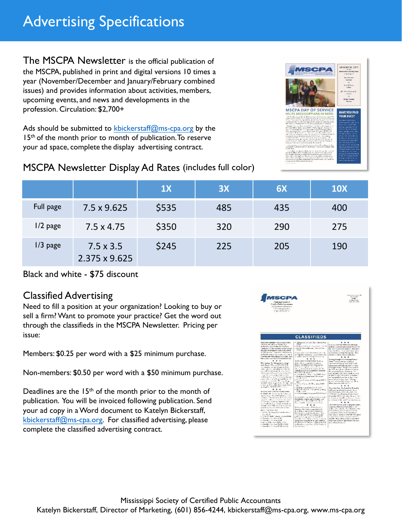The MSCPA Newsletter is the official publication of the MSCPA, published in print and digital versions 10 times a year (November/December and January/February combined issues) and provides information about activities, members, upcoming events, and news and developments in the profession. Circulation: \$2,700+

Ads should be submitted to kbickerstaff[@ms-cpa.org](mailto:jtruhett@ms-cpa.org) by the 15<sup>th</sup> of the month prior to month of publication. To reserve your ad space, complete the display advertising contract.



## MSCPA Newsletter Display Ad Rates (includes full color)

|            |                                   | 1X    | 3X  | 6X  | <b>10X</b> |
|------------|-----------------------------------|-------|-----|-----|------------|
| Full page  | 7.5 x 9.625                       | \$535 | 485 | 435 | 400        |
| $1/2$ page | $7.5 \times 4.75$                 | \$350 | 320 | 290 | 275        |
| $1/3$ page | $7.5 \times 3.5$<br>2.375 x 9.625 | \$245 | 225 | 205 | 190        |

#### Black and white - \$75 discount

### Classified Advertising

Need to fill a position at your organization? Looking to buy or sell a firm? Want to promote your practice? Get the word out through the classifieds in the MSCPA Newsletter. Pricing per issue:

Members: \$0.25 per word with a \$25 minimum purchase.

Non-members: \$0.50 per word with a \$50 minimum purchase.

Deadlines are the 15th of the month prior to the month of publication. You will be invoiced following publication. Send your ad copy in a Word document to Katelyn Bickerstaff, kbickerstaff[@ms-cpa.org](mailto:jtruhett@ms-cpa.org). For classified advertising, please complete the classified advertising contract.

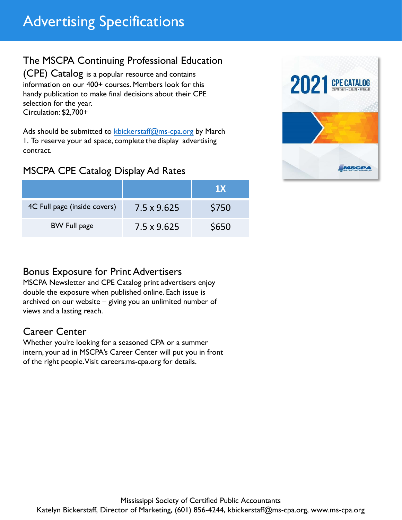## The MSCPA Continuing Professional Education

(CPE) Catalog is a popular resource and contains information on our 400+ courses. Members look for this handy publication to make final decisions about their CPE selection for the year. Circulation: \$2,700+

Ads should be submitted to kbickerstaff[@ms-cpa.org](mailto:jtruhett@ms-cpa.org) by March 1. To reserve your ad space, complete the display advertising contract.

## MSCPA CPE Catalog Display Ad Rates

|                              |                    | 1X    |
|------------------------------|--------------------|-------|
| 4C Full page (inside covers) | 7.5 x 9.625        | \$750 |
| <b>BW Full page</b>          | $7.5 \times 9.625$ | \$650 |



## Bonus Exposure for Print Advertisers

MSCPA Newsletter and CPE Catalog print advertisers enjoy double the exposure when published online. Each issue is archived on our website – giving you an unlimited number of views and a lasting reach.

## Career Center

Whether you're looking for a seasoned CPA or a summer intern, your ad in MSCPA's Career Center will put you in front of the right people. Visit careers.ms-cpa.org for details.